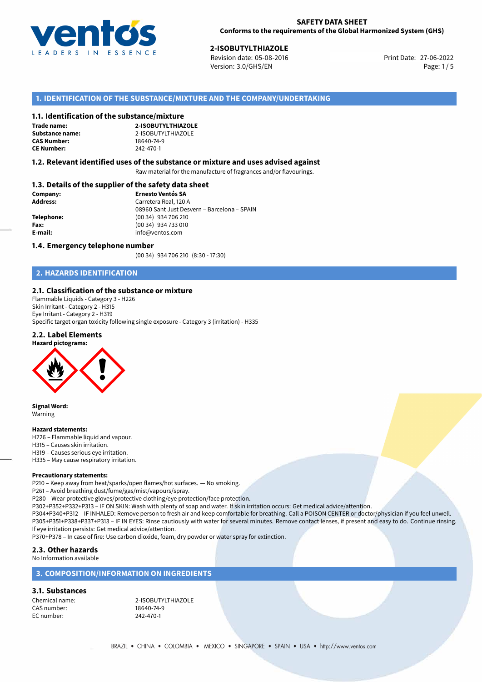

27-06-2022 **2-ISOBUTYLTHIAZOLE** Revision date: 05-08-2016 Print Date: Version: 3.0/GHS/EN Page: 1/5

# **1. IDENTIFICATION OF THE SUBSTANCE/MIXTURE AND THE COMPANY/UNDERTAKING**

## **1.1. Identification of the substance/mixture**

**Trade name: CAS Number: CE Number:** 242-470-1

**2-ISOBUTYLTHIAZOLE Substance name:** 2-ISOBUTYLTHIAZOLE<br> **CAS Number:** 18640-74-9

## **1.2. Relevant identified uses of the substance or mixture and uses advised against**

Raw material for the manufacture of fragrances and/or flavourings.

## **1.3. Details of the supplier of the safety data sheet**

| Company:   | <b>Ernesto Ventós SA</b>                    |  |
|------------|---------------------------------------------|--|
| Address:   | Carretera Real, 120 A                       |  |
|            | 08960 Sant Just Desvern - Barcelona - SPAIN |  |
| Telephone: | (00 34) 934 706 210                         |  |
| Fax:       | (00 34) 934 733 010                         |  |
| E-mail:    | info@ventos.com                             |  |
|            |                                             |  |

### **1.4. Emergency telephone number**

(00 34) 934 706 210 (8:30 - 17:30)

# **2. HAZARDS IDENTIFICATION**

## **2.1. Classification of the substance or mixture**

Flammable Liquids - Category 3 - H226 Skin Irritant - Category 2 - H315 Eye Irritant - Category 2 - H319 Specific target organ toxicity following single exposure - Category 3 (irritation) - H335

## **2.2. Label Elements**



**Signal Word:** Warning

### **Hazard statements:**

H226 – Flammable liquid and vapour. H315 – Causes skin irritation. H319 – Causes serious eye irritation. H335 – May cause respiratory irritation.

### **Precautionary statements:**

P210 – Keep away from heat/sparks/open flames/hot surfaces. — No smoking.

P261 – Avoid breathing dust/fume/gas/mist/vapours/spray.

P280 – Wear protective gloves/protective clothing/eye protection/face protection.

P302+P352+P332+P313 – IF ON SKIN: Wash with plenty of soap and water. If skin irritation occurs: Get medical advice/attention. P304+P340+P312 – IF INHALED: Remove person to fresh air and keep comfortable for breathing. Call a POISON CENTER or doctor/physician if you feel unwell. P305+P351+P338+P337+P313 – IF IN EYES: Rinse cautiously with water for several minutes. Remove contact lenses, if present and easy to do. Continue rinsing. If eye irritation persists: Get medical advice/attention.

P370+P378 – In case of fire: Use carbon dioxide, foam, dry powder or water spray for extinction.

## **2.3. Other hazards**

No Information available

## **3. COMPOSITION/INFORMATION ON INGREDIENTS**

## **3.1. Substances**

CAS number: 18640-74-9<br>EC number: 242-470-1 EC number:

Chemical name: 2-ISOBUTYLTHIAZOLE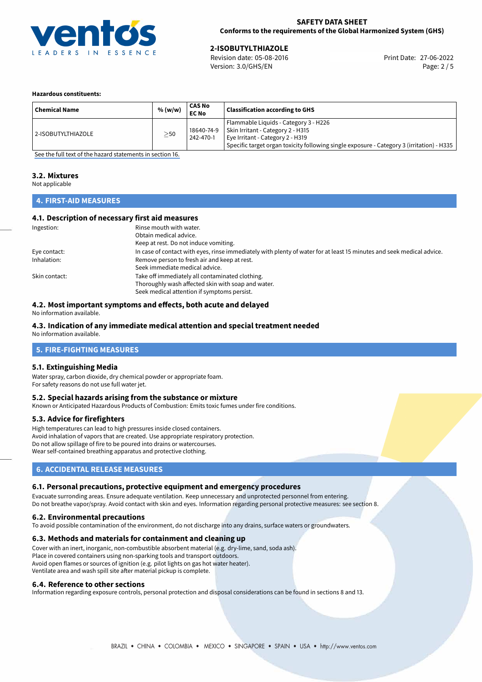

27-06-2022 **2-ISOBUTYLTHIAZOLE** Revision date: 05-08-2016 Print Date: Version: 3.0/GHS/EN Page: 2 / 5

## **Hazardous constituents:**

| <b>Chemical Name</b> | % (w/w)   | CAS No<br><b>EC No</b>  | <b>Classification according to GHS</b>                                                                                                                                                                        |
|----------------------|-----------|-------------------------|---------------------------------------------------------------------------------------------------------------------------------------------------------------------------------------------------------------|
| 2-ISOBUTYLTHIAZOLE   | $\geq$ 50 | 18640-74-9<br>242-470-1 | Flammable Liquids - Category 3 - H226<br>Skin Irritant - Category 2 - H315<br>Eye Irritant - Category 2 - H319<br>  Specific target organ toxicity following single exposure - Category 3 (irritation) - H335 |

[See the full text of the hazard statements in section 16.](#page-4-0)

# **3.2. Mixtures**

Not applicable

# **4. FIRST-AID MEASURES**

## **4.1. Description of necessary first aid measures**

| Ingestion:    | Rinse mouth with water.<br>Obtain medical advice.                                                                                                    |
|---------------|------------------------------------------------------------------------------------------------------------------------------------------------------|
|               | Keep at rest. Do not induce vomiting.                                                                                                                |
| Eye contact:  | In case of contact with eyes, rinse immediately with plenty of water for at least 15 minutes and seek medical advice.                                |
| Inhalation:   | Remove person to fresh air and keep at rest.<br>Seek immediate medical advice.                                                                       |
| Skin contact: | Take off immediately all contaminated clothing.<br>Thoroughly wash affected skin with soap and water.<br>Seek medical attention if symptoms persist. |

# **4.2. Most important symptoms and effects, both acute and delayed**

No information available.

# **4.3. Indication of any immediate medical attention and special treatment needed**

No information available.

# **5. FIRE-FIGHTING MEASURES**

## **5.1. Extinguishing Media**

Water spray, carbon dioxide, dry chemical powder or appropriate foam. For safety reasons do not use full water jet.

## **5.2. Special hazards arising from the substance or mixture**

Known or Anticipated Hazardous Products of Combustion: Emits toxic fumes under fire conditions.

## **5.3. Advice for firefighters**

High temperatures can lead to high pressures inside closed containers. Avoid inhalation of vapors that are created. Use appropriate respiratory protection. Do not allow spillage of fire to be poured into drains or watercourses. Wear self-contained breathing apparatus and protective clothing.

# **6. ACCIDENTAL RELEASE MEASURES**

## **6.1. Personal precautions, protective equipment and emergency procedures**

Evacuate surronding areas. Ensure adequate ventilation. Keep unnecessary and unprotected personnel from entering. Do not breathe vapor/spray. Avoid contact with skin and eyes. Information regarding personal protective measures: see section 8.

## **6.2. Environmental precautions**

To avoid possible contamination of the environment, do not discharge into any drains, surface waters or groundwaters.

## **6.3. Methods and materials for containment and cleaning up**

Cover with an inert, inorganic, non-combustible absorbent material (e.g. dry-lime, sand, soda ash). Place in covered containers using non-sparking tools and transport outdoors. Avoid open flames or sources of ignition (e.g. pilot lights on gas hot water heater). Ventilate area and wash spill site after material pickup is complete.

## **6.4. Reference to other sections**

Information regarding exposure controls, personal protection and disposal considerations can be found in sections 8 and 13.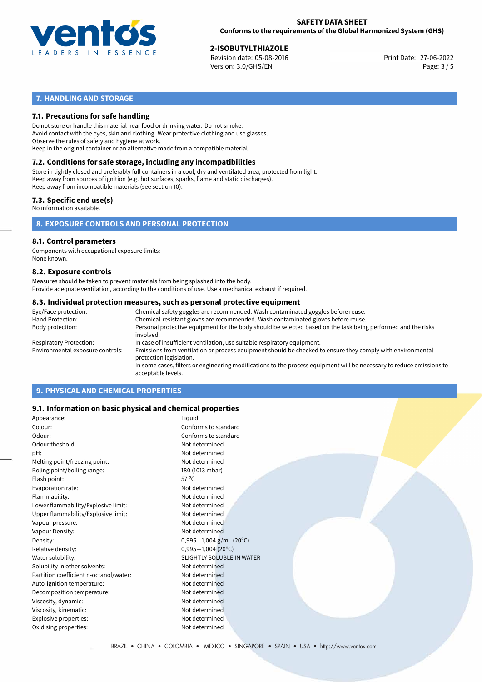

27-06-2022 **2-ISOBUTYLTHIAZOLE** Revision date: 05-08-2016 Print Date: Version: 3.0/GHS/EN Page: 3 / 5

# **7. HANDLING AND STORAGE**

## **7.1. Precautions for safe handling**

Do not store or handle this material near food or drinking water. Do not smoke. Avoid contact with the eyes, skin and clothing. Wear protective clothing and use glasses. Observe the rules of safety and hygiene at work. Keep in the original container or an alternative made from a compatible material.

# **7.2. Conditions for safe storage, including any incompatibilities**

Store in tightly closed and preferably full containers in a cool, dry and ventilated area, protected from light. Keep away from sources of ignition (e.g. hot surfaces, sparks, flame and static discharges). Keep away from incompatible materials (see section 10).

## **7.3. Specific end use(s)**

No information available.

**8. EXPOSURE CONTROLS AND PERSONAL PROTECTION**

# **8.1. Control parameters**

Components with occupational exposure limits: None known.

## **8.2. Exposure controls**

Measures should be taken to prevent materials from being splashed into the body. Provide adequate ventilation, according to the conditions of use. Use a mechanical exhaust if required.

## **8.3. Individual protection measures, such as personal protective equipment**

| Eye/Face protection:             | Chemical safety goggles are recommended. Wash contaminated goggles before reuse.                                                            |  |  |  |
|----------------------------------|---------------------------------------------------------------------------------------------------------------------------------------------|--|--|--|
| Hand Protection:                 | Chemical-resistant gloves are recommended. Wash contaminated gloves before reuse.                                                           |  |  |  |
| Body protection:                 | Personal protective equipment for the body should be selected based on the task being performed and the risks<br>involved.                  |  |  |  |
| Respiratory Protection:          | In case of insufficient ventilation, use suitable respiratory equipment.                                                                    |  |  |  |
| Environmental exposure controls: | Emissions from ventilation or process equipment should be checked to ensure they comply with environmental<br>protection legislation.       |  |  |  |
|                                  | In some cases, filters or engineering modifications to the process equipment will be necessary to reduce emissions to<br>acceptable levels. |  |  |  |
|                                  |                                                                                                                                             |  |  |  |

# **9. PHYSICAL AND CHEMICAL PROPERTIES**

## **9.1. Information on basic physical and chemical properties**

| Appearance:                            | Liquid                           |
|----------------------------------------|----------------------------------|
| Colour:                                | Conforms to standard             |
| Odour:                                 | Conforms to standard             |
| Odour theshold:                        | Not determined                   |
| pH:                                    | Not determined                   |
| Melting point/freezing point:          | Not determined                   |
| Boling point/boiling range:            | 180 (1013 mbar)                  |
| Flash point:                           | $57^{\circ}$ C                   |
| Evaporation rate:                      | Not determined                   |
| Flammability:                          | Not determined                   |
| Lower flammability/Explosive limit:    | Not determined                   |
| Upper flammability/Explosive limit:    | Not determined                   |
| Vapour pressure:                       | Not determined                   |
| Vapour Density:                        | Not determined                   |
| Density:                               | $0,995-1,004$ g/mL (20°C)        |
| Relative density:                      | $0,995 - 1,004$ (20°C)           |
| Water solubility:                      | <b>SLIGHTLY SOLUBLE IN WATER</b> |
| Solubility in other solvents:          | Not determined                   |
| Partition coefficient n-octanol/water: | Not determined                   |
| Auto-ignition temperature:             | Not determined                   |
| Decomposition temperature:             | Not determined                   |
| Viscosity, dynamic:                    | Not determined                   |
| Viscosity, kinematic:                  | Not determined                   |
| Explosive properties:                  | Not determined                   |
| Oxidising properties:                  | Not determined                   |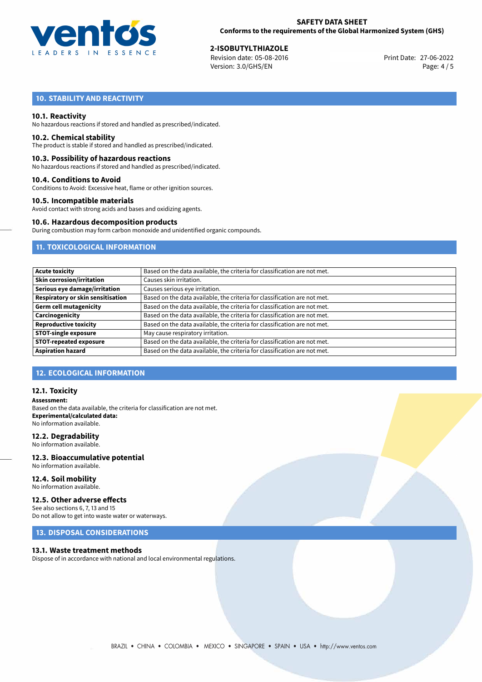

27-06-2022 **2-ISOBUTYLTHIAZOLE** Revision date: 05-08-2016 Print Date: Version: 3.0/GHS/EN Page: 4 / 5

# **10. STABILITY AND REACTIVITY**

## **10.1. Reactivity**

No hazardous reactions if stored and handled as prescribed/indicated.

## **10.2. Chemical stability**

The product is stable if stored and handled as prescribed/indicated.

## **10.3. Possibility of hazardous reactions**

No hazardous reactions if stored and handled as prescribed/indicated.

## **10.4. Conditions to Avoid**

Conditions to Avoid: Excessive heat, flame or other ignition sources.

## **10.5. Incompatible materials**

Avoid contact with strong acids and bases and oxidizing agents.

## **10.6. Hazardous decomposition products**

During combustion may form carbon monoxide and unidentified organic compounds.

# **11. TOXICOLOGICAL INFORMATION**

| <b>Acute toxicity</b>                    | Based on the data available, the criteria for classification are not met. |  |
|------------------------------------------|---------------------------------------------------------------------------|--|
| <b>Skin corrosion/irritation</b>         | Causes skin irritation.                                                   |  |
| Serious eye damage/irritation            | Causes serious eye irritation.                                            |  |
| <b>Respiratory or skin sensitisation</b> | Based on the data available, the criteria for classification are not met. |  |
| <b>Germ cell mutagenicity</b>            | Based on the data available, the criteria for classification are not met. |  |
| Carcinogenicity                          | Based on the data available, the criteria for classification are not met. |  |
| <b>Reproductive toxicity</b>             | Based on the data available, the criteria for classification are not met. |  |
| <b>STOT-single exposure</b>              | May cause respiratory irritation.                                         |  |
| <b>STOT-repeated exposure</b>            | Based on the data available, the criteria for classification are not met. |  |
| <b>Aspiration hazard</b>                 | Based on the data available, the criteria for classification are not met. |  |

# **12. ECOLOGICAL INFORMATION**

## **12.1. Toxicity**

**Assessment:** Based on the data available, the criteria for classification are not met. **Experimental/calculated data:** No information available.

## **12.2. Degradability**

No information available.

### **12.3. Bioaccumulative potential** No information available.

**12.4. Soil mobility**

# No information available.

## **12.5. Other adverse effects**

See also sections 6, 7, 13 and 15 Do not allow to get into waste water or waterways.

# **13. DISPOSAL CONSIDERATIONS**

## **13.1. Waste treatment methods**

Dispose of in accordance with national and local environmental regulations.